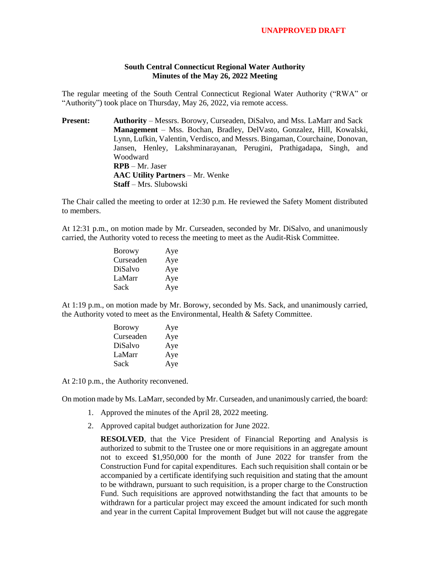## **South Central Connecticut Regional Water Authority Minutes of the May 26, 2022 Meeting**

The regular meeting of the South Central Connecticut Regional Water Authority ("RWA" or "Authority") took place on Thursday, May 26, 2022, via remote access.

**Present:** Authority – Messrs. Borowy, Curseaden, DiSalvo, and Mss. LaMarr and Sack **Management** – Mss. Bochan, Bradley, DelVasto, Gonzalez, Hill, Kowalski, Lynn, Lufkin, Valentin, Verdisco, and Messrs. Bingaman, Courchaine, Donovan, Jansen, Henley, Lakshminarayanan, Perugini, Prathigadapa, Singh, and Woodward **RPB** – Mr. Jaser **AAC Utility Partners** – Mr. Wenke **Staff** – Mrs. Slubowski

The Chair called the meeting to order at 12:30 p.m. He reviewed the Safety Moment distributed to members.

At 12:31 p.m., on motion made by Mr. Curseaden, seconded by Mr. DiSalvo, and unanimously carried, the Authority voted to recess the meeting to meet as the Audit-Risk Committee.

| <b>Borowy</b> | Aye |
|---------------|-----|
| Curseaden     | Aye |
| DiSalvo       | Aye |
| LaMarr        | Aye |
| Sack          | Aye |

At 1:19 p.m., on motion made by Mr. Borowy, seconded by Ms. Sack, and unanimously carried, the Authority voted to meet as the Environmental, Health & Safety Committee.

| <b>Borowy</b> | Aye |
|---------------|-----|
| Curseaden     | Aye |
| DiSalvo       | Aye |
| LaMarr        | Aye |
| Sack          | Aye |

At 2:10 p.m., the Authority reconvened.

On motion made by Ms. LaMarr, seconded by Mr. Curseaden, and unanimously carried, the board:

- 1. Approved the minutes of the April 28, 2022 meeting.
- 2. Approved capital budget authorization for June 2022.

**RESOLVED**, that the Vice President of Financial Reporting and Analysis is authorized to submit to the Trustee one or more requisitions in an aggregate amount not to exceed \$1,950,000 for the month of June 2022 for transfer from the Construction Fund for capital expenditures. Each such requisition shall contain or be accompanied by a certificate identifying such requisition and stating that the amount to be withdrawn, pursuant to such requisition, is a proper charge to the Construction Fund. Such requisitions are approved notwithstanding the fact that amounts to be withdrawn for a particular project may exceed the amount indicated for such month and year in the current Capital Improvement Budget but will not cause the aggregate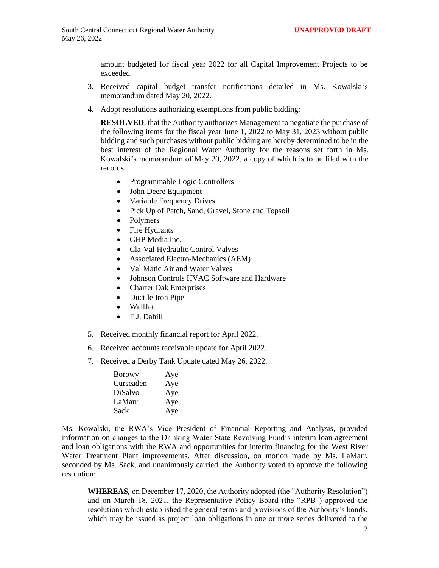amount budgeted for fiscal year 2022 for all Capital Improvement Projects to be exceeded.

- 3. Received capital budget transfer notifications detailed in Ms. Kowalski's memorandum dated May 20, 2022.
- 4. Adopt resolutions authorizing exemptions from public bidding:

**RESOLVED**, that the Authority authorizes Management to negotiate the purchase of the following items for the fiscal year June 1, 2022 to May 31, 2023 without public bidding and such purchases without public bidding are hereby determined to be in the best interest of the Regional Water Authority for the reasons set forth in Ms. Kowalski's memorandum of May 20, 2022, a copy of which is to be filed with the records:

- Programmable Logic Controllers
- John Deere Equipment
- Variable Frequency Drives
- Pick Up of Patch, Sand, Gravel, Stone and Topsoil
- Polymers
- Fire Hydrants
- GHP Media Inc.
- Cla-Val Hydraulic Control Valves
- Associated Electro-Mechanics (AEM)
- Val Matic Air and Water Valves
- Johnson Controls HVAC Software and Hardware
- Charter Oak Enterprises
- Ductile Iron Pipe
- WellJet
- F.J. Dahill
- 5. Received monthly financial report for April 2022.
- 6. Received accounts receivable update for April 2022.
- 7. Received a Derby Tank Update dated May 26, 2022.

| <b>Borowy</b> | Aye |
|---------------|-----|
| Curseaden     | Aye |
| DiSalvo       | Aye |
| LaMarr        | Aye |
| Sack          | Aye |

Ms. Kowalski, the RWA's Vice President of Financial Reporting and Analysis, provided information on changes to the Drinking Water State Revolving Fund's interim loan agreement and loan obligations with the RWA and opportunities for interim financing for the West River Water Treatment Plant improvements. After discussion, on motion made by Ms. LaMarr, seconded by Ms. Sack, and unanimously carried, the Authority voted to approve the following resolution:

**WHEREAS***,* on December 17, 2020, the Authority adopted (the "Authority Resolution") and on March 18, 2021, the Representative Policy Board (the "RPB") approved the resolutions which established the general terms and provisions of the Authority's bonds, which may be issued as project loan obligations in one or more series delivered to the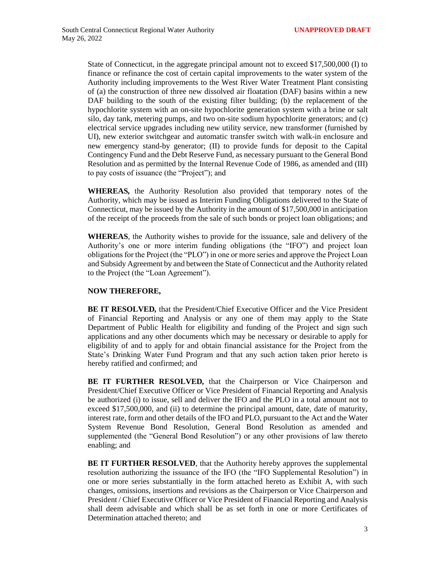State of Connecticut, in the aggregate principal amount not to exceed \$17,500,000 (I) to finance or refinance the cost of certain capital improvements to the water system of the Authority including improvements to the West River Water Treatment Plant consisting of (a) the construction of three new dissolved air floatation (DAF) basins within a new DAF building to the south of the existing filter building; (b) the replacement of the hypochlorite system with an on-site hypochlorite generation system with a brine or salt silo, day tank, metering pumps, and two on-site sodium hypochlorite generators; and (c) electrical service upgrades including new utility service, new transformer (furnished by UI), new exterior switchgear and automatic transfer switch with walk-in enclosure and new emergency stand-by generator; (II) to provide funds for deposit to the Capital Contingency Fund and the Debt Reserve Fund, as necessary pursuant to the General Bond Resolution and as permitted by the Internal Revenue Code of 1986, as amended and (III) to pay costs of issuance (the "Project"); and

**WHEREAS***,* the Authority Resolution also provided that temporary notes of the Authority, which may be issued as Interim Funding Obligations delivered to the State of Connecticut, may be issued by the Authority in the amount of \$17,500,000 in anticipation of the receipt of the proceeds from the sale of such bonds or project loan obligations; and

**WHEREAS***,* the Authority wishes to provide for the issuance, sale and delivery of the Authority's one or more interim funding obligations (the "IFO") and project loan obligations for the Project (the "PLO") in one or more series and approve the Project Loan and Subsidy Agreement by and between the State of Connecticut and the Authority related to the Project (the "Loan Agreement").

## **NOW THEREFORE,**

**BE IT RESOLVED***,* that the President/Chief Executive Officer and the Vice President of Financial Reporting and Analysis or any one of them may apply to the State Department of Public Health for eligibility and funding of the Project and sign such applications and any other documents which may be necessary or desirable to apply for eligibility of and to apply for and obtain financial assistance for the Project from the State's Drinking Water Fund Program and that any such action taken prior hereto is hereby ratified and confirmed; and

**BE IT FURTHER RESOLVED***,* that the Chairperson or Vice Chairperson and President/Chief Executive Officer or Vice President of Financial Reporting and Analysis be authorized (i) to issue, sell and deliver the IFO and the PLO in a total amount not to exceed \$17,500,000, and (ii) to determine the principal amount, date, date of maturity, interest rate, form and other details of the IFO and PLO, pursuant to the Act and the Water System Revenue Bond Resolution, General Bond Resolution as amended and supplemented (the "General Bond Resolution") or any other provisions of law thereto enabling; and

**BE IT FURTHER RESOLVED**, that the Authority hereby approves the supplemental resolution authorizing the issuance of the IFO (the "IFO Supplemental Resolution") in one or more series substantially in the form attached hereto as Exhibit A, with such changes, omissions, insertions and revisions as the Chairperson or Vice Chairperson and President / Chief Executive Officer or Vice President of Financial Reporting and Analysis shall deem advisable and which shall be as set forth in one or more Certificates of Determination attached thereto; and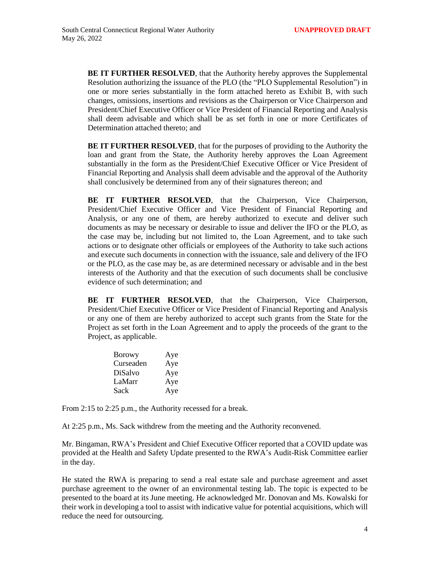**BE IT FURTHER RESOLVED***,* that the Authority hereby approves the Supplemental Resolution authorizing the issuance of the PLO (the "PLO Supplemental Resolution") in one or more series substantially in the form attached hereto as Exhibit B, with such changes, omissions, insertions and revisions as the Chairperson or Vice Chairperson and President/Chief Executive Officer or Vice President of Financial Reporting and Analysis shall deem advisable and which shall be as set forth in one or more Certificates of Determination attached thereto; and

**BE IT FURTHER RESOLVED***,* that for the purposes of providing to the Authority the loan and grant from the State, the Authority hereby approves the Loan Agreement substantially in the form as the President/Chief Executive Officer or Vice President of Financial Reporting and Analysis shall deem advisable and the approval of the Authority shall conclusively be determined from any of their signatures thereon; and

**BE IT FURTHER RESOLVED**, that the Chairperson, Vice Chairperson, President/Chief Executive Officer and Vice President of Financial Reporting and Analysis, or any one of them, are hereby authorized to execute and deliver such documents as may be necessary or desirable to issue and deliver the IFO or the PLO, as the case may be, including but not limited to, the Loan Agreement, and to take such actions or to designate other officials or employees of the Authority to take such actions and execute such documents in connection with the issuance, sale and delivery of the IFO or the PLO, as the case may be, as are determined necessary or advisable and in the best interests of the Authority and that the execution of such documents shall be conclusive evidence of such determination; and

**BE IT FURTHER RESOLVED**, that the Chairperson, Vice Chairperson, President/Chief Executive Officer or Vice President of Financial Reporting and Analysis or any one of them are hereby authorized to accept such grants from the State for the Project as set forth in the Loan Agreement and to apply the proceeds of the grant to the Project, as applicable.

| <b>Borowy</b> | Aye |
|---------------|-----|
| Curseaden     | Aye |
| DiSalvo       | Aye |
| LaMarr        | Aye |
| Sack          | Aye |

From 2:15 to 2:25 p.m., the Authority recessed for a break.

At 2:25 p.m., Ms. Sack withdrew from the meeting and the Authority reconvened.

Mr. Bingaman, RWA's President and Chief Executive Officer reported that a COVID update was provided at the Health and Safety Update presented to the RWA's Audit-Risk Committee earlier in the day.

He stated the RWA is preparing to send a real estate sale and purchase agreement and asset purchase agreement to the owner of an environmental testing lab. The topic is expected to be presented to the board at its June meeting. He acknowledged Mr. Donovan and Ms. Kowalski for their work in developing a tool to assist with indicative value for potential acquisitions, which will reduce the need for outsourcing.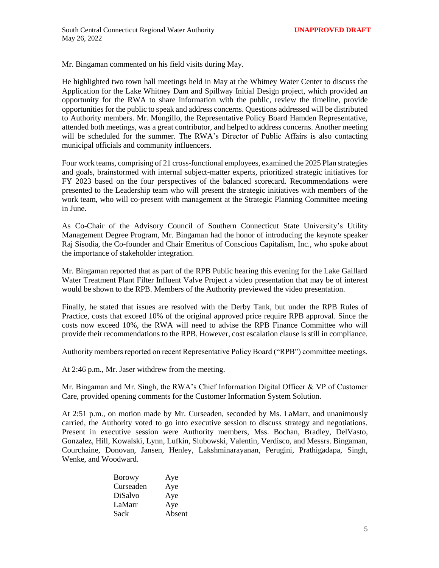Mr. Bingaman commented on his field visits during May.

He highlighted two town hall meetings held in May at the Whitney Water Center to discuss the Application for the Lake Whitney Dam and Spillway Initial Design project, which provided an opportunity for the RWA to share information with the public, review the timeline, provide opportunities for the public to speak and address concerns. Questions addressed will be distributed to Authority members. Mr. Mongillo, the Representative Policy Board Hamden Representative, attended both meetings, was a great contributor, and helped to address concerns. Another meeting will be scheduled for the summer. The RWA's Director of Public Affairs is also contacting municipal officials and community influencers.

Four work teams, comprising of 21 cross-functional employees, examined the 2025 Plan strategies and goals, brainstormed with internal subject-matter experts, prioritized strategic initiatives for FY 2023 based on the four perspectives of the balanced scorecard. Recommendations were presented to the Leadership team who will present the strategic initiatives with members of the work team, who will co-present with management at the Strategic Planning Committee meeting in June.

As Co-Chair of the Advisory Council of Southern Connecticut State University's Utility Management Degree Program, Mr. Bingaman had the honor of introducing the keynote speaker Raj Sisodia, the Co-founder and Chair Emeritus of Conscious Capitalism, Inc., who spoke about the importance of stakeholder integration.

Mr. Bingaman reported that as part of the RPB Public hearing this evening for the Lake Gaillard Water Treatment Plant Filter Influent Valve Project a video presentation that may be of interest would be shown to the RPB. Members of the Authority previewed the video presentation.

Finally, he stated that issues are resolved with the Derby Tank, but under the RPB Rules of Practice, costs that exceed 10% of the original approved price require RPB approval. Since the costs now exceed 10%, the RWA will need to advise the RPB Finance Committee who will provide their recommendations to the RPB. However, cost escalation clause is still in compliance.

Authority members reported on recent Representative Policy Board ("RPB") committee meetings.

At 2:46 p.m., Mr. Jaser withdrew from the meeting.

Mr. Bingaman and Mr. Singh, the RWA's Chief Information Digital Officer & VP of Customer Care, provided opening comments for the Customer Information System Solution.

At 2:51 p.m., on motion made by Mr. Curseaden, seconded by Ms. LaMarr, and unanimously carried, the Authority voted to go into executive session to discuss strategy and negotiations. Present in executive session were Authority members, Mss. Bochan, Bradley, DelVasto, Gonzalez, Hill, Kowalski, Lynn, Lufkin, Slubowski, Valentin, Verdisco, and Messrs. Bingaman, Courchaine, Donovan, Jansen, Henley, Lakshminarayanan, Perugini, Prathigadapa, Singh, Wenke, and Woodward.

| <b>Borowy</b> | Aye    |
|---------------|--------|
| Curseaden     | Aye    |
| DiSalvo       | Aye    |
| LaMarr        | Aye    |
| Sack          | Absent |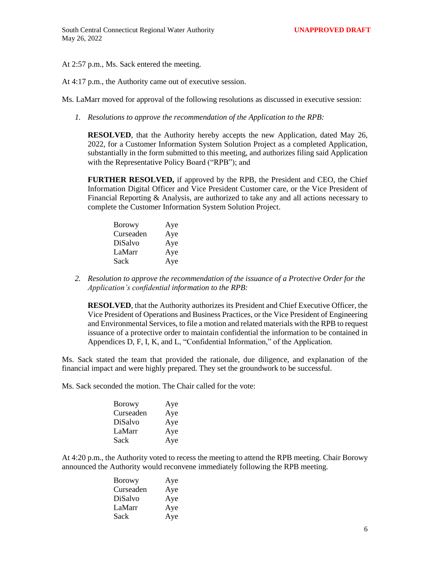## At 2:57 p.m., Ms. Sack entered the meeting.

## At 4:17 p.m., the Authority came out of executive session.

Ms. LaMarr moved for approval of the following resolutions as discussed in executive session:

*1. Resolutions to approve the recommendation of the Application to the RPB:*

**RESOLVED**, that the Authority hereby accepts the new Application, dated May 26, 2022, for a Customer Information System Solution Project as a completed Application, substantially in the form submitted to this meeting, and authorizes filing said Application with the Representative Policy Board ("RPB"); and

**FURTHER RESOLVED,** if approved by the RPB, the President and CEO, the Chief Information Digital Officer and Vice President Customer care, or the Vice President of Financial Reporting & Analysis, are authorized to take any and all actions necessary to complete the Customer Information System Solution Project.

| <b>Borowy</b> | Aye |
|---------------|-----|
| Curseaden     | Aye |
| DiSalvo       | Aye |
| LaMarr        | Aye |
| Sack          | Aye |

*2. Resolution to approve the recommendation of the issuance of a Protective Order for the Application's confidential information to the RPB:*

**RESOLVED**, that the Authority authorizes its President and Chief Executive Officer, the Vice President of Operations and Business Practices, or the Vice President of Engineering and Environmental Services, to file a motion and related materials with the RPB to request issuance of a protective order to maintain confidential the information to be contained in Appendices D, F, I, K, and L, "Confidential Information," of the Application.

Ms. Sack stated the team that provided the rationale, due diligence, and explanation of the financial impact and were highly prepared. They set the groundwork to be successful.

Ms. Sack seconded the motion. The Chair called for the vote:

| <b>Borowy</b> | Aye |
|---------------|-----|
| Curseaden     | Aye |
| DiSalvo       | Aye |
| LaMarr        | Aye |
| Sack          | Aye |

At 4:20 p.m., the Authority voted to recess the meeting to attend the RPB meeting. Chair Borowy announced the Authority would reconvene immediately following the RPB meeting.

| Borowy    | Aye |
|-----------|-----|
| Curseaden | Aye |
| DiSalvo   | Aye |
| LaMarr    | Aye |
| Sack      | Aye |